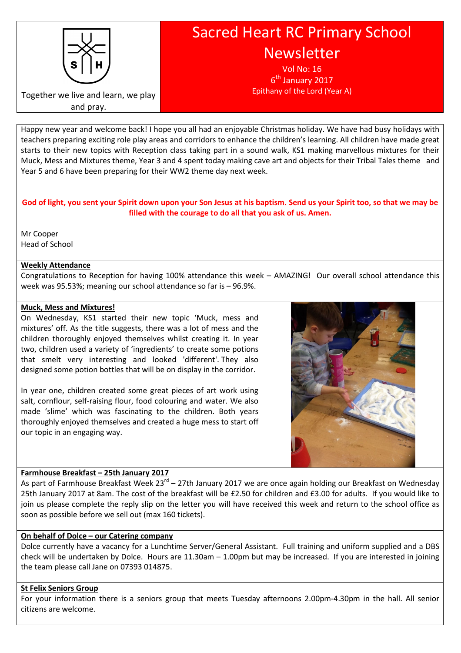

# Sacred Heart RC Primary School Newsletter

Vol No: 16 6<sup>th</sup> January 2017 Epithany of the Lord (Year A)

Together we live and learn, we play and pray.

Happy new year and welcome back! I hope you all had an enjoyable Christmas holiday. We have had busy holidays with teachers preparing exciting role play areas and corridors to enhance the children's learning. All children have made great starts to their new topics with Reception class taking part in a sound walk, KS1 making marvellous mixtures for their Muck, Mess and Mixtures theme, Year 3 and 4 spent today making cave art and objects for their Tribal Tales theme and Year 5 and 6 have been preparing for their WW2 theme day next week.

# God of light, you sent your Spirit down upon your Son Jesus at his baptism. Send us your Spirit too, so that we may be filled with the courage to do all that you ask of us. Amen.

Mr Cooper Head of School

# Weekly Attendance

Congratulations to Reception for having 100% attendance this week – AMAZING! Our overall school attendance this week was 95.53%; meaning our school attendance so far is – 96.9%.

# Muck, Mess and Mixtures!

On Wednesday, KS1 started their new topic 'Muck, mess and mixtures' off. As the title suggests, there was a lot of mess and the children thoroughly enjoyed themselves whilst creating it. In year two, children used a variety of 'ingredients' to create some potions that smelt very interesting and looked 'different'. They also designed some potion bottles that will be on display in the corridor.

In year one, children created some great pieces of art work using salt, cornflour, self-raising flour, food colouring and water. We also made 'slime' which was fascinating to the children. Both years thoroughly enjoyed themselves and created a huge mess to start off our topic in an engaging way.



# Farmhouse Breakfast – 25th January 2017

As part of Farmhouse Breakfast Week 23<sup>rd</sup> – 27th January 2017 we are once again holding our Breakfast on Wednesday 25th January 2017 at 8am. The cost of the breakfast will be £2.50 for children and £3.00 for adults. If you would like to join us please complete the reply slip on the letter you will have received this week and return to the school office as soon as possible before we sell out (max 160 tickets).

#### On behalf of Dolce – our Catering company

Dolce currently have a vacancy for a Lunchtime Server/General Assistant. Full training and uniform supplied and a DBS check will be undertaken by Dolce. Hours are 11.30am – 1.00pm but may be increased. If you are interested in joining the team please call Jane on 07393 014875.

#### St Felix Seniors Group

For your information there is a seniors group that meets Tuesday afternoons 2.00pm-4.30pm in the hall. All senior citizens are welcome.